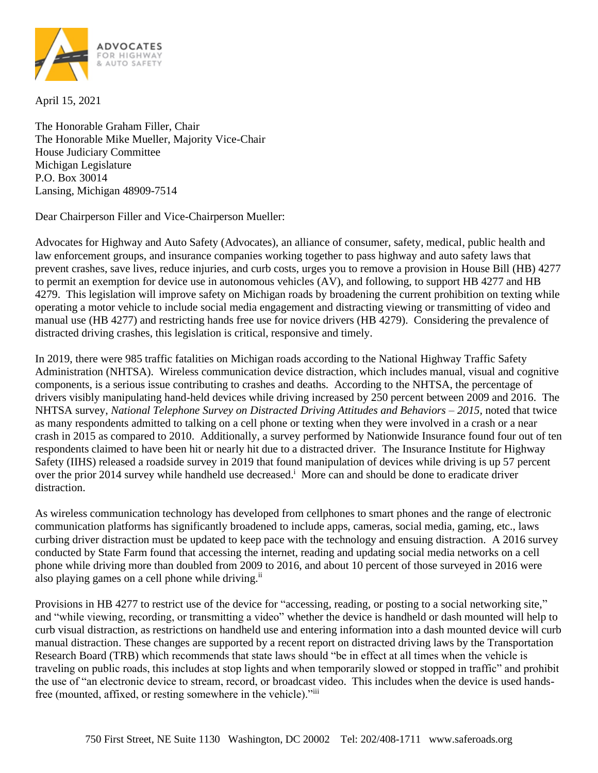

April 15, 2021

The Honorable Graham Filler, Chair The Honorable Mike Mueller, Majority Vice-Chair House Judiciary Committee Michigan Legislature P.O. Box 30014 Lansing, Michigan 48909-7514

Dear Chairperson Filler and Vice-Chairperson Mueller:

Advocates for Highway and Auto Safety (Advocates), an alliance of consumer, safety, medical, public health and law enforcement groups, and insurance companies working together to pass highway and auto safety laws that prevent crashes, save lives, reduce injuries, and curb costs, urges you to remove a provision in House Bill (HB) 4277 to permit an exemption for device use in autonomous vehicles (AV), and following, to support HB 4277 and HB 4279. This legislation will improve safety on Michigan roads by broadening the current prohibition on texting while operating a motor vehicle to include social media engagement and distracting viewing or transmitting of video and manual use (HB 4277) and restricting hands free use for novice drivers (HB 4279). Considering the prevalence of distracted driving crashes, this legislation is critical, responsive and timely.

In 2019, there were 985 traffic fatalities on Michigan roads according to the National Highway Traffic Safety Administration (NHTSA). Wireless communication device distraction, which includes manual, visual and cognitive components, is a serious issue contributing to crashes and deaths. According to the NHTSA, the percentage of drivers visibly manipulating hand-held devices while driving increased by 250 percent between 2009 and 2016. The NHTSA survey, *National Telephone Survey on Distracted Driving Attitudes and Behaviors – 2015,* noted that twice as many respondents admitted to talking on a cell phone or texting when they were involved in a crash or a near crash in 2015 as compared to 2010. Additionally, a survey performed by Nationwide Insurance found four out of ten respondents claimed to have been hit or nearly hit due to a distracted driver. The Insurance Institute for Highway Safety (IIHS) released a roadside survey in 2019 that found manipulation of devices while driving is up 57 percent over the prior 2014 survey while handheld use decreased.<sup>1</sup> More can and should be done to eradicate driver distraction.

As wireless communication technology has developed from cellphones to smart phones and the range of electronic communication platforms has significantly broadened to include apps, cameras, social media, gaming, etc., laws curbing driver distraction must be updated to keep pace with the technology and ensuing distraction. A 2016 survey conducted by State Farm found that accessing the internet, reading and updating social media networks on a cell phone while driving more than doubled from 2009 to 2016, and about 10 percent of those surveyed in 2016 were also playing games on a cell phone while driving.<sup>ii</sup>

Provisions in HB 4277 to restrict use of the device for "accessing, reading, or posting to a social networking site," and "while viewing, recording, or transmitting a video" whether the device is handheld or dash mounted will help to curb visual distraction, as restrictions on handheld use and entering information into a dash mounted device will curb manual distraction. These changes are supported by a recent report on distracted driving laws by the Transportation Research Board (TRB) which recommends that state laws should "be in effect at all times when the vehicle is traveling on public roads, this includes at stop lights and when temporarily slowed or stopped in traffic" and prohibit the use of "an electronic device to stream, record, or broadcast video. This includes when the device is used handsfree (mounted, affixed, or resting somewhere in the vehicle)."iii